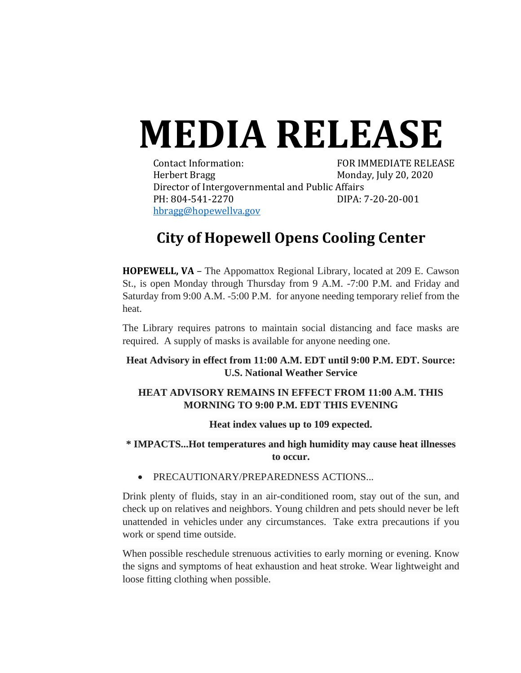# **MEDIA RELEASE**

Contact Information: FOR IMMEDIATE RELEASE Herbert Bragg Monday, July 20, 2020 Director of Intergovernmental and Public Affairs PH: 804-541-2270 DIPA: 7-20-20-001 [hbragg@hopewellva.gov](mailto:hbragg@hopewellva.gov)

## **City of Hopewell Opens Cooling Center**

**HOPEWELL, VA** – The Appomattox Regional Library, located at 209 E. Cawson St., is open Monday through Thursday from 9 A.M. -7:00 P.M. and Friday and Saturday from 9:00 A.M. -5:00 P.M. for anyone needing temporary relief from the heat.

The Library requires patrons to maintain social distancing and face masks are required. A supply of masks is available for anyone needing one.

**Heat Advisory in effect from 11:00 A.M. EDT until 9:00 P.M. EDT. Source: U.S. National Weather Service**

#### **HEAT ADVISORY REMAINS IN EFFECT FROM 11:00 A.M. THIS MORNING TO 9:00 P.M. EDT THIS EVENING**

#### **Heat index values up to 109 expected.**

### **\* IMPACTS...Hot temperatures and high humidity may cause heat illnesses to occur.**

• PRECAUTIONARY/PREPAREDNESS ACTIONS...

Drink plenty of fluids, stay in an air-conditioned room, stay out of the sun, and check up on relatives and neighbors. Young children and pets should never be left unattended in vehicles under any circumstances. Take extra precautions if you work or spend time outside.

When possible reschedule strenuous activities to early morning or evening. Know the signs and symptoms of heat exhaustion and heat stroke. Wear lightweight and loose fitting clothing when possible.